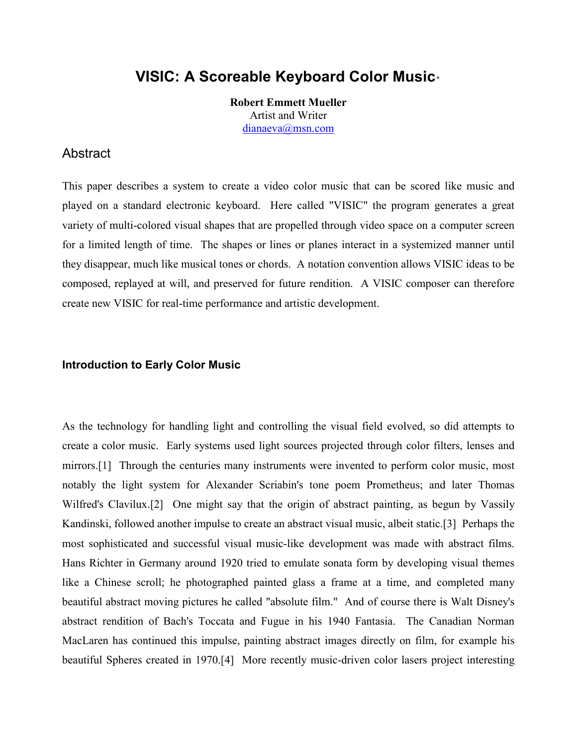# **VISIC: A Scoreable Keyboard Color Music**\*

**Robert Emmett Mueller** Artist and Writer dianaeva@msn.com

### Abstract

This paper describes a system to create a video color music that can be scored like music and played on a standard electronic keyboard. Here called "VISIC" the program generates a great variety of multi-colored visual shapes that are propelled through video space on a computer screen for a limited length of time. The shapes or lines or planes interact in a systemized manner until they disappear, much like musical tones or chords. A notation convention allows VISIC ideas to be composed, replayed at will, and preserved for future rendition. A VISIC composer can therefore create new VISIC for real-time performance and artistic development.

### **Introduction to Early Color Music**

As the technology for handling light and controlling the visual field evolved, so did attempts to create a color music. Early systems used light sources projected through color filters, lenses and mirrors.[1] Through the centuries many instruments were invented to perform color music, most notably the light system for Alexander Scriabin's tone poem Prometheus; and later Thomas Wilfred's Clavilux.<sup>[2]</sup> One might say that the origin of abstract painting, as begun by Vassily Kandinski, followed another impulse to create an abstract visual music, albeit static.[3] Perhaps the most sophisticated and successful visual music-like development was made with abstract films. Hans Richter in Germany around 1920 tried to emulate sonata form by developing visual themes like a Chinese scroll; he photographed painted glass a frame at a time, and completed many beautiful abstract moving pictures he called "absolute film." And of course there is Walt Disney's abstract rendition of Bach's Toccata and Fugue in his 1940 Fantasia. The Canadian Norman MacLaren has continued this impulse, painting abstract images directly on film, for example his beautiful Spheres created in 1970.[4] More recently music-driven color lasers project interesting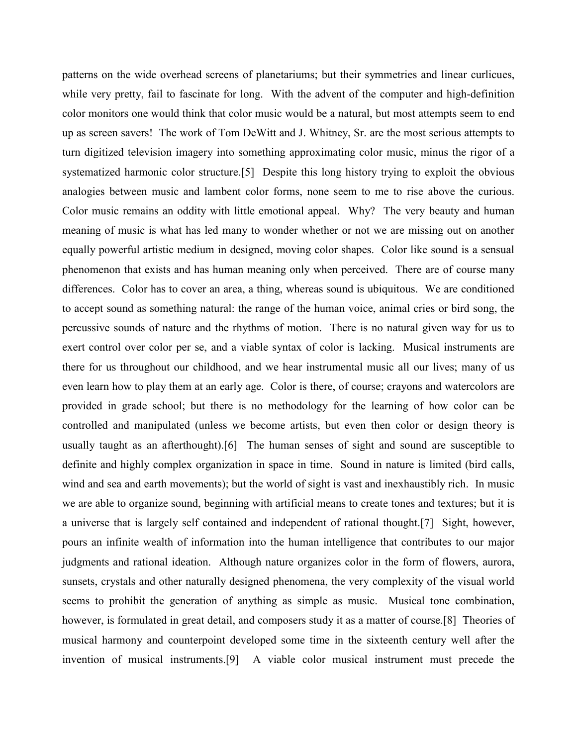patterns on the wide overhead screens of planetariums; but their symmetries and linear curlicues, while very pretty, fail to fascinate for long. With the advent of the computer and high-definition color monitors one would think that color music would be a natural, but most attempts seem to end up as screen savers! The work of Tom DeWitt and J. Whitney, Sr. are the most serious attempts to turn digitized television imagery into something approximating color music, minus the rigor of a systematized harmonic color structure.[5] Despite this long history trying to exploit the obvious analogies between music and lambent color forms, none seem to me to rise above the curious. Color music remains an oddity with little emotional appeal. Why? The very beauty and human meaning of music is what has led many to wonder whether or not we are missing out on another equally powerful artistic medium in designed, moving color shapes. Color like sound is a sensual phenomenon that exists and has human meaning only when perceived. There are of course many differences. Color has to cover an area, a thing, whereas sound is ubiquitous. We are conditioned to accept sound as something natural: the range of the human voice, animal cries or bird song, the percussive sounds of nature and the rhythms of motion. There is no natural given way for us to exert control over color per se, and a viable syntax of color is lacking. Musical instruments are there for us throughout our childhood, and we hear instrumental music all our lives; many of us even learn how to play them at an early age. Color is there, of course; crayons and watercolors are provided in grade school; but there is no methodology for the learning of how color can be controlled and manipulated (unless we become artists, but even then color or design theory is usually taught as an afterthought).[6] The human senses of sight and sound are susceptible to definite and highly complex organization in space in time. Sound in nature is limited (bird calls, wind and sea and earth movements); but the world of sight is vast and inexhaustibly rich. In music we are able to organize sound, beginning with artificial means to create tones and textures; but it is a universe that is largely self contained and independent of rational thought.[7] Sight, however, pours an infinite wealth of information into the human intelligence that contributes to our major judgments and rational ideation. Although nature organizes color in the form of flowers, aurora, sunsets, crystals and other naturally designed phenomena, the very complexity of the visual world seems to prohibit the generation of anything as simple as music. Musical tone combination, however, is formulated in great detail, and composers study it as a matter of course.[8] Theories of musical harmony and counterpoint developed some time in the sixteenth century well after the invention of musical instruments.[9] A viable color musical instrument must precede the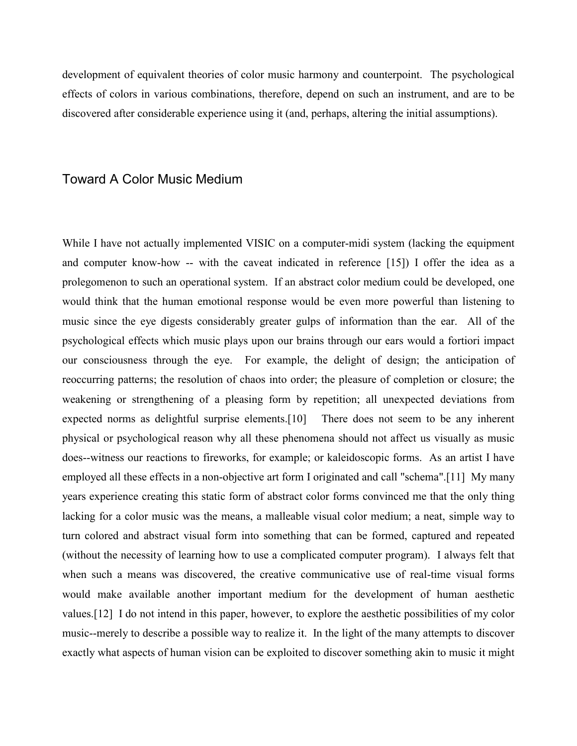development of equivalent theories of color music harmony and counterpoint. The psychological effects of colors in various combinations, therefore, depend on such an instrument, and are to be discovered after considerable experience using it (and, perhaps, altering the initial assumptions).

### Toward A Color Music Medium

While I have not actually implemented VISIC on a computer-midi system (lacking the equipment and computer know-how -- with the caveat indicated in reference [15]) I offer the idea as a prolegomenon to such an operational system. If an abstract color medium could be developed, one would think that the human emotional response would be even more powerful than listening to music since the eye digests considerably greater gulps of information than the ear. All of the psychological effects which music plays upon our brains through our ears would a fortiori impact our consciousness through the eye. For example, the delight of design; the anticipation of reoccurring patterns; the resolution of chaos into order; the pleasure of completion or closure; the weakening or strengthening of a pleasing form by repetition; all unexpected deviations from expected norms as delightful surprise elements.[10] There does not seem to be any inherent physical or psychological reason why all these phenomena should not affect us visually as music does--witness our reactions to fireworks, for example; or kaleidoscopic forms. As an artist I have employed all these effects in a non-objective art form I originated and call "schema".[11] My many years experience creating this static form of abstract color forms convinced me that the only thing lacking for a color music was the means, a malleable visual color medium; a neat, simple way to turn colored and abstract visual form into something that can be formed, captured and repeated (without the necessity of learning how to use a complicated computer program). I always felt that when such a means was discovered, the creative communicative use of real-time visual forms would make available another important medium for the development of human aesthetic values.[12] I do not intend in this paper, however, to explore the aesthetic possibilities of my color music--merely to describe a possible way to realize it. In the light of the many attempts to discover exactly what aspects of human vision can be exploited to discover something akin to music it might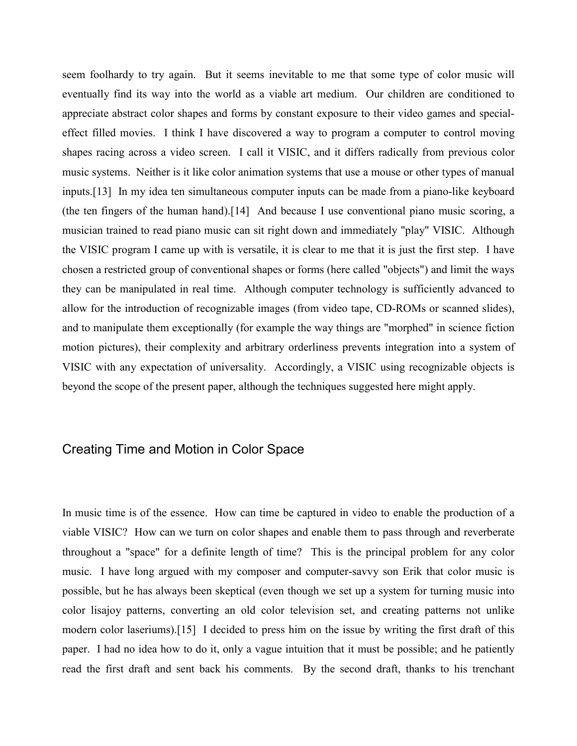seem foolhardy to try again. But it seems inevitable to me that some type of color music will eventually find its way into the world as a viable art medium. Our children are conditioned to appreciate abstract color shapes and forms by constant exposure to their video games and specialeffect filled movies. I think I have discovered a way to program a computer to control moving shapes racing across a video screen. I call it VISIC, and it differs radically from previous color music systems. Neither is it like color animation systems that use a mouse or other types of manual inputs.[13] In my idea ten simultaneous computer inputs can be made from a piano-like keyboard (the ten fingers of the human hand).[14] And because I use conventional piano music scoring, a musician trained to read piano music can sit right down and immediately "play" VISIC. Although the VISIC program I came up with is versatile, it is clear to me that it is just the first step. I have chosen a restricted group of conventional shapes or forms (here called "objects") and limit the ways they can be manipulated in real time. Although computer technology is sufficiently advanced to allow for the introduction of recognizable images (from video tape, CD-ROMs or scanned slides), and to manipulate them exceptionally (for example the way things are "morphed" in science fiction motion pictures), their complexity and arbitrary orderliness prevents integration into a system of VISIC with any expectation of universality. Accordingly, a VISIC using recognizable objects is beyond the scope of the present paper, although the techniques suggested here might apply.

# Creating Time and Motion in Color Space

In music time is of the essence. How can time be captured in video to enable the production of a viable VISIC? How can we turn on color shapes and enable them to pass through and reverberate throughout a "space" for a definite length of time? This is the principal problem for any color music. I have long argued with my composer and computer-savvy son Erik that color music is possible, but he has always been skeptical (even though we set up a system for turning music into color lisajoy patterns, converting an old color television set, and creating patterns not unlike modern color laseriums).[15] I decided to press him on the issue by writing the first draft of this paper. I had no idea how to do it, only a vague intuition that it must be possible; and he patiently read the first draft and sent back his comments. By the second draft, thanks to his trenchant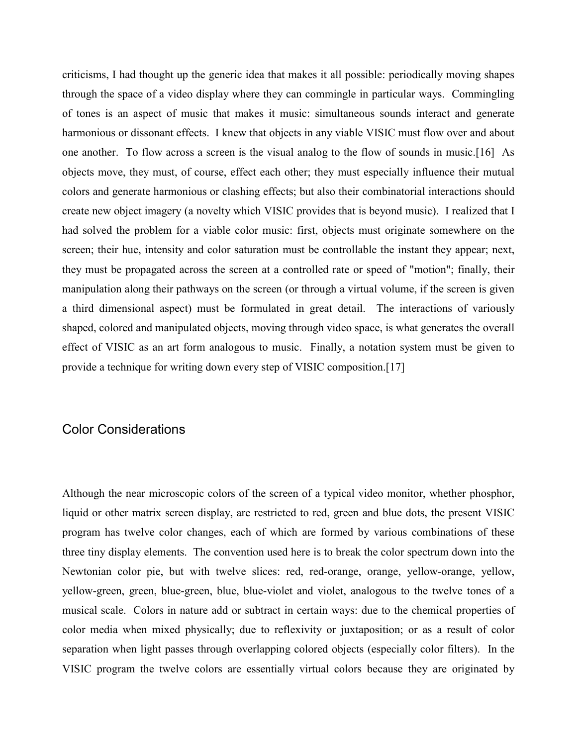criticisms, I had thought up the generic idea that makes it all possible: periodically moving shapes through the space of a video display where they can commingle in particular ways. Commingling of tones is an aspect of music that makes it music: simultaneous sounds interact and generate harmonious or dissonant effects. I knew that objects in any viable VISIC must flow over and about one another. To flow across a screen is the visual analog to the flow of sounds in music.[16] As objects move, they must, of course, effect each other; they must especially influence their mutual colors and generate harmonious or clashing effects; but also their combinatorial interactions should create new object imagery (a novelty which VISIC provides that is beyond music). I realized that I had solved the problem for a viable color music: first, objects must originate somewhere on the screen; their hue, intensity and color saturation must be controllable the instant they appear; next, they must be propagated across the screen at a controlled rate or speed of "motion"; finally, their manipulation along their pathways on the screen (or through a virtual volume, if the screen is given a third dimensional aspect) must be formulated in great detail. The interactions of variously shaped, colored and manipulated objects, moving through video space, is what generates the overall effect of VISIC as an art form analogous to music. Finally, a notation system must be given to provide a technique for writing down every step of VISIC composition.[17]

# Color Considerations

Although the near microscopic colors of the screen of a typical video monitor, whether phosphor, liquid or other matrix screen display, are restricted to red, green and blue dots, the present VISIC program has twelve color changes, each of which are formed by various combinations of these three tiny display elements. The convention used here is to break the color spectrum down into the Newtonian color pie, but with twelve slices: red, red-orange, orange, yellow-orange, yellow, yellow-green, green, blue-green, blue, blue-violet and violet, analogous to the twelve tones of a musical scale. Colors in nature add or subtract in certain ways: due to the chemical properties of color media when mixed physically; due to reflexivity or juxtaposition; or as a result of color separation when light passes through overlapping colored objects (especially color filters). In the VISIC program the twelve colors are essentially virtual colors because they are originated by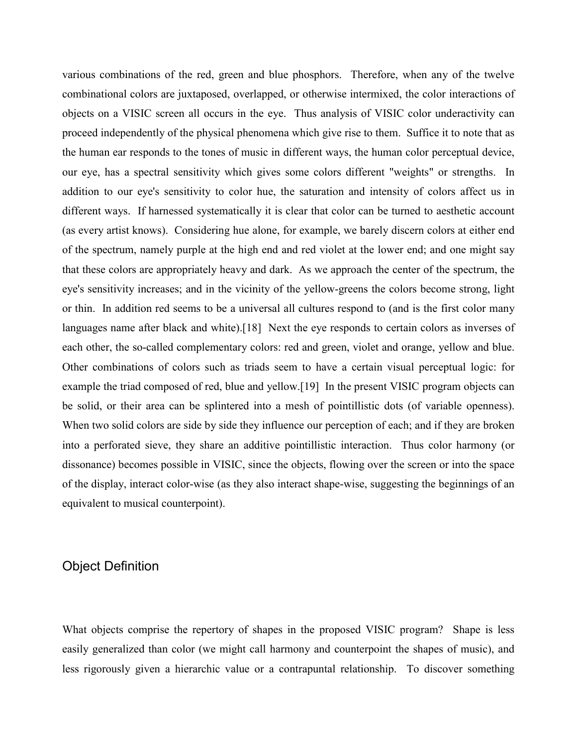various combinations of the red, green and blue phosphors. Therefore, when any of the twelve combinational colors are juxtaposed, overlapped, or otherwise intermixed, the color interactions of objects on a VISIC screen all occurs in the eye. Thus analysis of VISIC color underactivity can proceed independently of the physical phenomena which give rise to them. Suffice it to note that as the human ear responds to the tones of music in different ways, the human color perceptual device, our eye, has a spectral sensitivity which gives some colors different "weights" or strengths. In addition to our eye's sensitivity to color hue, the saturation and intensity of colors affect us in different ways. If harnessed systematically it is clear that color can be turned to aesthetic account (as every artist knows). Considering hue alone, for example, we barely discern colors at either end of the spectrum, namely purple at the high end and red violet at the lower end; and one might say that these colors are appropriately heavy and dark. As we approach the center of the spectrum, the eye's sensitivity increases; and in the vicinity of the yellow-greens the colors become strong, light or thin. In addition red seems to be a universal all cultures respond to (and is the first color many languages name after black and white).[18] Next the eye responds to certain colors as inverses of each other, the so-called complementary colors: red and green, violet and orange, yellow and blue. Other combinations of colors such as triads seem to have a certain visual perceptual logic: for example the triad composed of red, blue and yellow.[19] In the present VISIC program objects can be solid, or their area can be splintered into a mesh of pointillistic dots (of variable openness). When two solid colors are side by side they influence our perception of each; and if they are broken into a perforated sieve, they share an additive pointillistic interaction. Thus color harmony (or dissonance) becomes possible in VISIC, since the objects, flowing over the screen or into the space of the display, interact color-wise (as they also interact shape-wise, suggesting the beginnings of an equivalent to musical counterpoint).

# Object Definition

What objects comprise the repertory of shapes in the proposed VISIC program? Shape is less easily generalized than color (we might call harmony and counterpoint the shapes of music), and less rigorously given a hierarchic value or a contrapuntal relationship. To discover something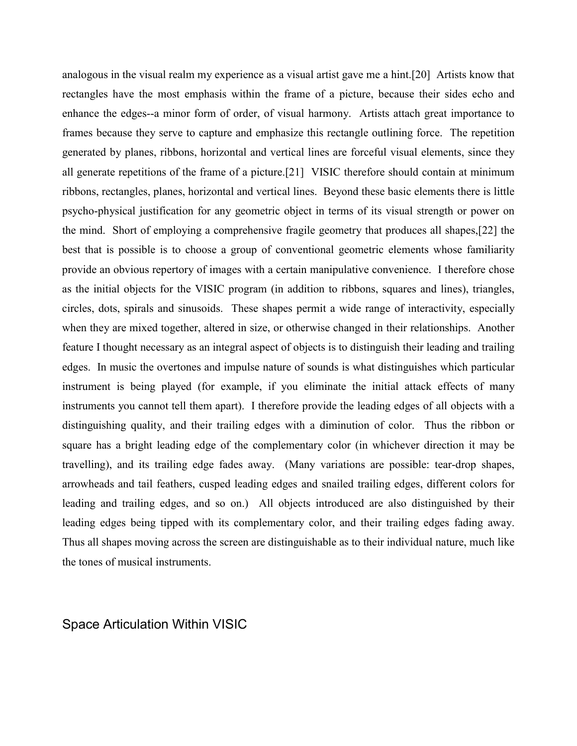analogous in the visual realm my experience as a visual artist gave me a hint.[20] Artists know that rectangles have the most emphasis within the frame of a picture, because their sides echo and enhance the edges--a minor form of order, of visual harmony. Artists attach great importance to frames because they serve to capture and emphasize this rectangle outlining force. The repetition generated by planes, ribbons, horizontal and vertical lines are forceful visual elements, since they all generate repetitions of the frame of a picture.[21] VISIC therefore should contain at minimum ribbons, rectangles, planes, horizontal and vertical lines. Beyond these basic elements there is little psycho-physical justification for any geometric object in terms of its visual strength or power on the mind. Short of employing a comprehensive fragile geometry that produces all shapes,[22] the best that is possible is to choose a group of conventional geometric elements whose familiarity provide an obvious repertory of images with a certain manipulative convenience. I therefore chose as the initial objects for the VISIC program (in addition to ribbons, squares and lines), triangles, circles, dots, spirals and sinusoids. These shapes permit a wide range of interactivity, especially when they are mixed together, altered in size, or otherwise changed in their relationships. Another feature I thought necessary as an integral aspect of objects is to distinguish their leading and trailing edges. In music the overtones and impulse nature of sounds is what distinguishes which particular instrument is being played (for example, if you eliminate the initial attack effects of many instruments you cannot tell them apart). I therefore provide the leading edges of all objects with a distinguishing quality, and their trailing edges with a diminution of color. Thus the ribbon or square has a bright leading edge of the complementary color (in whichever direction it may be travelling), and its trailing edge fades away. (Many variations are possible: tear-drop shapes, arrowheads and tail feathers, cusped leading edges and snailed trailing edges, different colors for leading and trailing edges, and so on.) All objects introduced are also distinguished by their leading edges being tipped with its complementary color, and their trailing edges fading away. Thus all shapes moving across the screen are distinguishable as to their individual nature, much like the tones of musical instruments.

Space Articulation Within VISIC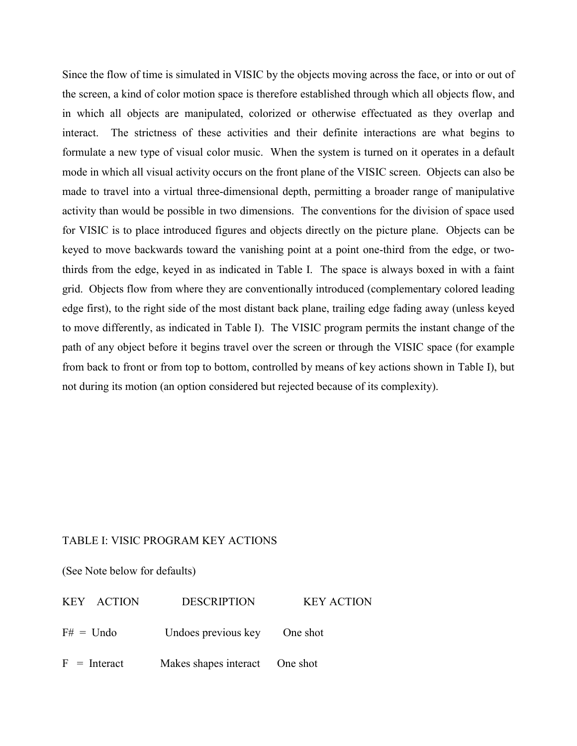Since the flow of time is simulated in VISIC by the objects moving across the face, or into or out of the screen, a kind of color motion space is therefore established through which all objects flow, and in which all objects are manipulated, colorized or otherwise effectuated as they overlap and interact. The strictness of these activities and their definite interactions are what begins to formulate a new type of visual color music. When the system is turned on it operates in a default mode in which all visual activity occurs on the front plane of the VISIC screen. Objects can also be made to travel into a virtual three-dimensional depth, permitting a broader range of manipulative activity than would be possible in two dimensions. The conventions for the division of space used for VISIC is to place introduced figures and objects directly on the picture plane. Objects can be keyed to move backwards toward the vanishing point at a point one-third from the edge, or twothirds from the edge, keyed in as indicated in Table I. The space is always boxed in with a faint grid. Objects flow from where they are conventionally introduced (complementary colored leading edge first), to the right side of the most distant back plane, trailing edge fading away (unless keyed to move differently, as indicated in Table I). The VISIC program permits the instant change of the path of any object before it begins travel over the screen or through the VISIC space (for example from back to front or from top to bottom, controlled by means of key actions shown in Table I), but not during its motion (an option considered but rejected because of its complexity).

#### TABLE I: VISIC PROGRAM KEY ACTIONS

(See Note below for defaults)

| KEY ACTION     | <b>DESCRIPTION</b>             | <b>KEY ACTION</b> |
|----------------|--------------------------------|-------------------|
| $F# =$ Undo    | Undoes previous key            | One shot          |
| $F =$ Interact | Makes shapes interact One shot |                   |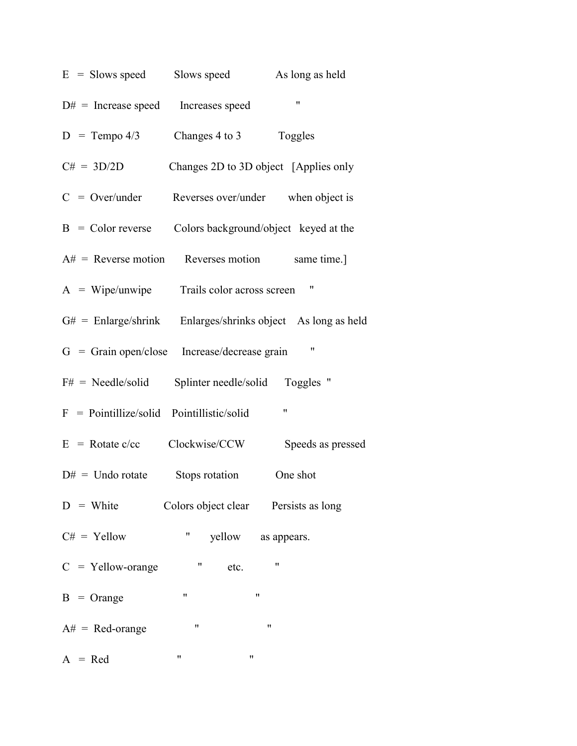|                                                     |                           | $E =$ Slows speed Slows speed As long as held                 |
|-----------------------------------------------------|---------------------------|---------------------------------------------------------------|
| $D#$ = Increase speed Increases speed               |                           | $\pmb{\mathsf{H}}$                                            |
| $D = Tempo 4/3$ Changes 4 to 3 Toggles              |                           |                                                               |
| $C# = 3D/2D$                                        |                           | Changes 2D to 3D object [Applies only                         |
|                                                     |                           | $C = Over/under$ Reverses over/under when object is           |
|                                                     |                           | $B = Color reverse$ Colors background/object keyed at the     |
|                                                     |                           | $A#$ = Reverse motion Reverses motion same time.              |
| A = Wipe/unwipe Trails color across screen "        |                           |                                                               |
|                                                     |                           | $G#$ = Enlarge/shrink Enlarges/shrinks object As long as held |
| G = Grain open/close Increase/decrease grain "      |                           |                                                               |
| $F#$ = Needle/solid Splinter needle/solid Toggles " |                           |                                                               |
| $F = Pointillize/solid Pointillistic/solid$         |                           | $\pmb{\mathsf{H}}$                                            |
| $E = \text{Rotate c/cc}$ Clockwise/CCW              |                           | Speeds as pressed                                             |
| $D# =$ Undo rotate Stops rotation                   |                           | One shot                                                      |
| $D =$ White Colors object clear Persists as long    |                           |                                                               |
| $C# =$ Yellow                                       | $\mathbf{u}_{\text{max}}$ | yellow as appears.                                            |
| $C =$ Yellow-orange                                 | $\mathbf{u}$<br>etc.      | 11                                                            |
| $B = Orange$                                        | 11                        | 11                                                            |
| $A# = Red\text{-orange}$                            | $\pmb{\mathsf{H}}$        | 11                                                            |
| $A = Red$                                           | 11<br>Ħ                   |                                                               |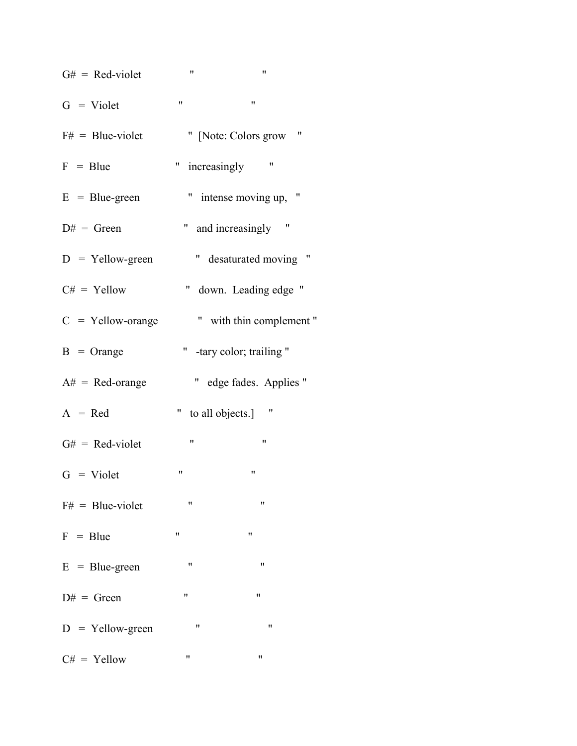$G# = Red- violet$  " "

 $G =$  Violet " "

| $F# = Blue- violet$      |                | " [Note: Colors grow "    |
|--------------------------|----------------|---------------------------|
| $F = Blue$               |                | " increasingly "          |
| $E = Blue-green$         |                | " intense moving up, "    |
| $D# = Green$             |                | " and increasingly "      |
| $D =$ Yellow-green       |                | " desaturated moving "    |
| $C# =$ Yellow            |                | " down. Leading edge "    |
| $C =$ Yellow-orange      |                | " with thin complement"   |
| $B = Orange$             |                | " -tary color; trailing " |
| $A# = Red\text{-orange}$ |                | " edge fades. Applies "   |
| $A = Red$                |                | " to all objects.] "      |
| $G# = Red-violet$        | $\blacksquare$ | 11                        |
| $G = Violet$             | 11             | $\mathbf{H}$              |
| $F# = Blue-violet$       | $\mathbf{H}$   | $\pmb{\mathsf{H}}$        |
| $F = Blue$               | 11             | $\pmb{\mathsf{H}}$        |
| $E = Blue-green$         | 11             | 11                        |
| $D# = Green$             | 11             | 11                        |
| $D =$ Yellow-green       | 11             | 11                        |
| $C# =$ Yellow            | 11             | 11                        |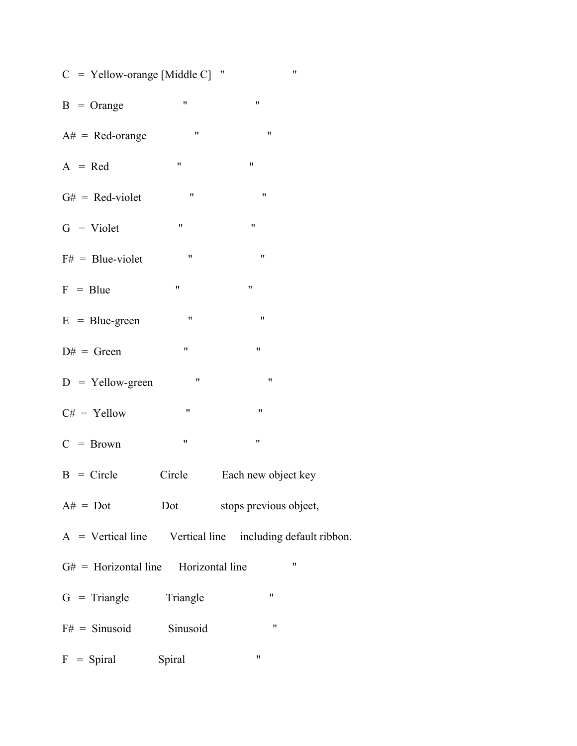|  |  | $C =$ Yellow-orange [Middle C] " |  |  |  |
|--|--|----------------------------------|--|--|--|
|--|--|----------------------------------|--|--|--|

- $B = Orange$  " "
- $A# = Red\text{-orange}$  "
- $A = Red$  " "
- $G# = Red-violet$  "
- $G = Violet$  " "
- $F#$  = Blue-violet " "
- $F = Blue$  " "
- $E = Blue-green$  " "
- $D# = Green$  " "
- D = Yellow-green " "
- $C# =$  Yellow " "
- $C = Brown$  " "
- $B =$  Circle Circle Each new object key
- $A# = Dot$  Dot stops previous object,
- A = Vertical line Vertical line including default ribbon.
- $G#$  = Horizontal line Horizontal line "
- $G =$ Triangle Triangle "
- $F# = \text{Sinusoid}$  Sinusoid "
- F = Spiral Spiral "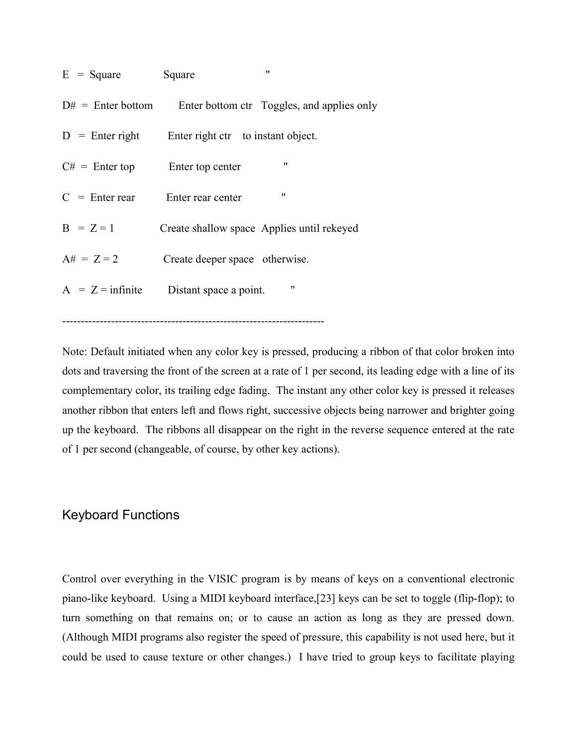| $E = Square$      | $^{\prime\prime}$<br>Square                                    |
|-------------------|----------------------------------------------------------------|
|                   | $D#$ = Enter bottom Enter bottom ctr Toggles, and applies only |
| $D =$ Enter right | Enter right ctr to instant object.                             |
| $C#$ = Enter top  | 11<br>Enter top center                                         |
| $C =$ Enter rear  | 11<br>Enter rear center                                        |
| $B = Z = 1$       | Create shallow space Applies until rekeyed                     |
| $A# = Z = 2$      | Create deeper space otherwise.                                 |
|                   | 11<br>$A = Z =$ infinite Distant space a point.                |
|                   |                                                                |

----------------------------------------------------------------------

Note: Default initiated when any color key is pressed, producing a ribbon of that color broken into dots and traversing the front of the screen at a rate of 1 per second, its leading edge with a line of its complementary color, its trailing edge fading. The instant any other color key is pressed it releases another ribbon that enters left and flows right, successive objects being narrower and brighter going up the keyboard. The ribbons all disappear on the right in the reverse sequence entered at the rate of 1 per second (changeable, of course, by other key actions).

# Keyboard Functions

Control over everything in the VISIC program is by means of keys on a conventional electronic piano-like keyboard. Using a MIDI keyboard interface,[23] keys can be set to toggle (flip-flop); to turn something on that remains on; or to cause an action as long as they are pressed down. (Although MIDI programs also register the speed of pressure, this capability is not used here, but it could be used to cause texture or other changes.) I have tried to group keys to facilitate playing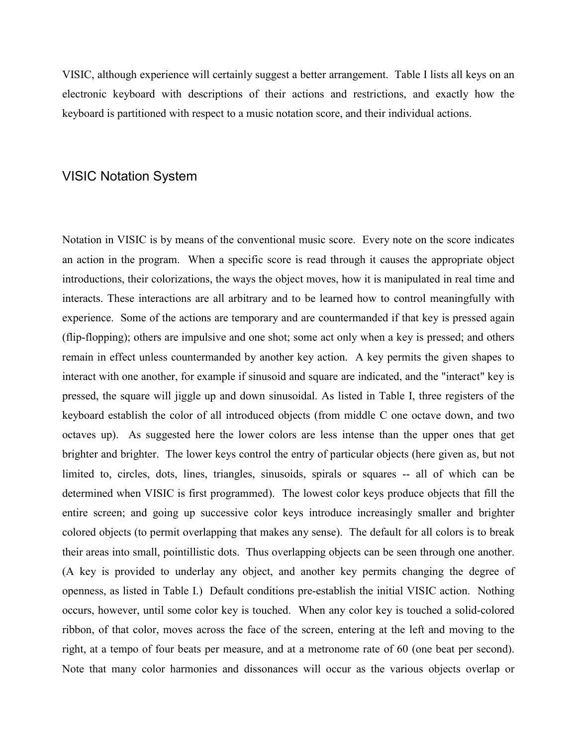VISIC, although experience will certainly suggest a better arrangement. Table I lists all keys on an electronic keyboard with descriptions of their actions and restrictions, and exactly how the keyboard is partitioned with respect to a music notation score, and their individual actions.

# VISIC Notation System

Notation in VISIC is by means of the conventional music score. Every note on the score indicates an action in the program. When a specific score is read through it causes the appropriate object introductions, their colorizations, the ways the object moves, how it is manipulated in real time and interacts. These interactions are all arbitrary and to be learned how to control meaningfully with experience. Some of the actions are temporary and are countermanded if that key is pressed again (flip-flopping); others are impulsive and one shot; some act only when a key is pressed; and others remain in effect unless countermanded by another key action. A key permits the given shapes to interact with one another, for example if sinusoid and square are indicated, and the "interact" key is pressed, the square will jiggle up and down sinusoidal. As listed in Table I, three registers of the keyboard establish the color of all introduced objects (from middle C one octave down, and two octaves up). As suggested here the lower colors are less intense than the upper ones that get brighter and brighter. The lower keys control the entry of particular objects (here given as, but not limited to, circles, dots, lines, triangles, sinusoids, spirals or squares -- all of which can be determined when VISIC is first programmed). The lowest color keys produce objects that fill the entire screen; and going up successive color keys introduce increasingly smaller and brighter colored objects (to permit overlapping that makes any sense). The default for all colors is to break their areas into small, pointillistic dots. Thus overlapping objects can be seen through one another. (A key is provided to underlay any object, and another key permits changing the degree of openness, as listed in Table I.) Default conditions pre-establish the initial VISIC action. Nothing occurs, however, until some color key is touched. When any color key is touched a solid-colored ribbon, of that color, moves across the face of the screen, entering at the left and moving to the right, at a tempo of four beats per measure, and at a metronome rate of 60 (one beat per second). Note that many color harmonies and dissonances will occur as the various objects overlap or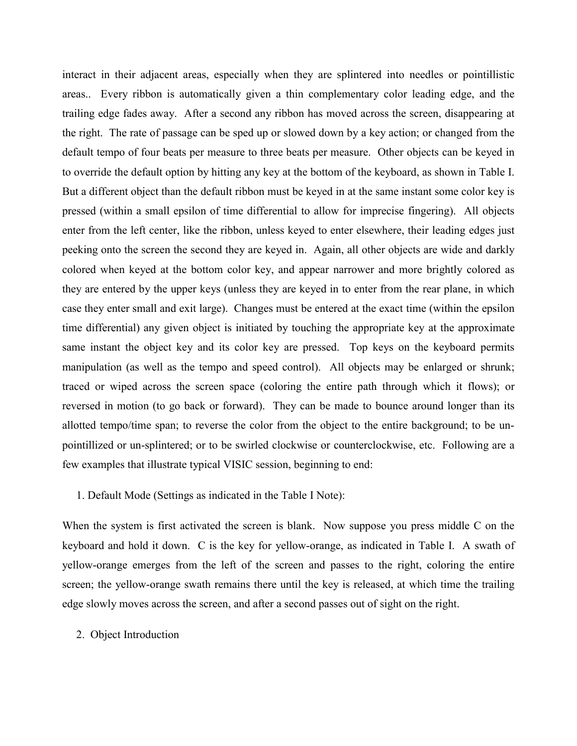interact in their adjacent areas, especially when they are splintered into needles or pointillistic areas.. Every ribbon is automatically given a thin complementary color leading edge, and the trailing edge fades away. After a second any ribbon has moved across the screen, disappearing at the right. The rate of passage can be sped up or slowed down by a key action; or changed from the default tempo of four beats per measure to three beats per measure. Other objects can be keyed in to override the default option by hitting any key at the bottom of the keyboard, as shown in Table I. But a different object than the default ribbon must be keyed in at the same instant some color key is pressed (within a small epsilon of time differential to allow for imprecise fingering). All objects enter from the left center, like the ribbon, unless keyed to enter elsewhere, their leading edges just peeking onto the screen the second they are keyed in. Again, all other objects are wide and darkly colored when keyed at the bottom color key, and appear narrower and more brightly colored as they are entered by the upper keys (unless they are keyed in to enter from the rear plane, in which case they enter small and exit large). Changes must be entered at the exact time (within the epsilon time differential) any given object is initiated by touching the appropriate key at the approximate same instant the object key and its color key are pressed. Top keys on the keyboard permits manipulation (as well as the tempo and speed control). All objects may be enlarged or shrunk; traced or wiped across the screen space (coloring the entire path through which it flows); or reversed in motion (to go back or forward). They can be made to bounce around longer than its allotted tempo/time span; to reverse the color from the object to the entire background; to be unpointillized or un-splintered; or to be swirled clockwise or counterclockwise, etc. Following are a few examples that illustrate typical VISIC session, beginning to end:

#### 1. Default Mode (Settings as indicated in the Table I Note):

When the system is first activated the screen is blank. Now suppose you press middle C on the keyboard and hold it down. C is the key for yellow-orange, as indicated in Table I. A swath of yellow-orange emerges from the left of the screen and passes to the right, coloring the entire screen; the yellow-orange swath remains there until the key is released, at which time the trailing edge slowly moves across the screen, and after a second passes out of sight on the right.

2. Object Introduction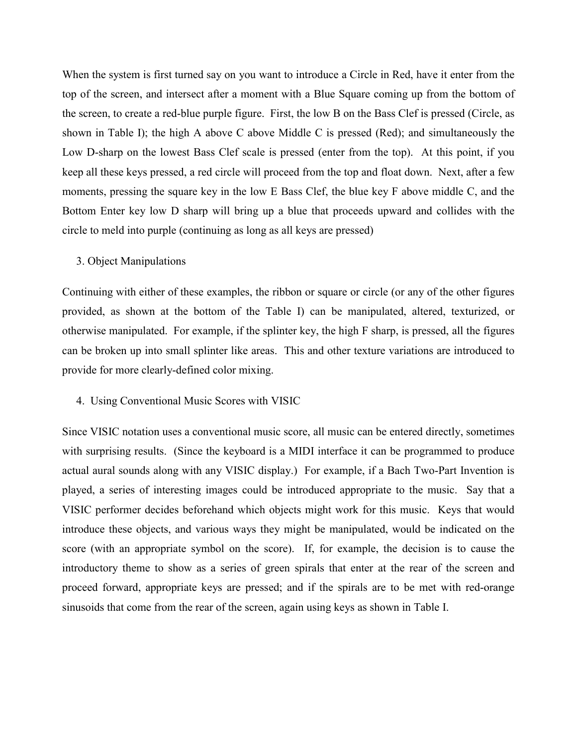When the system is first turned say on you want to introduce a Circle in Red, have it enter from the top of the screen, and intersect after a moment with a Blue Square coming up from the bottom of the screen, to create a red-blue purple figure. First, the low B on the Bass Clef is pressed (Circle, as shown in Table I); the high A above C above Middle C is pressed (Red); and simultaneously the Low D-sharp on the lowest Bass Clef scale is pressed (enter from the top). At this point, if you keep all these keys pressed, a red circle will proceed from the top and float down. Next, after a few moments, pressing the square key in the low E Bass Clef, the blue key F above middle C, and the Bottom Enter key low D sharp will bring up a blue that proceeds upward and collides with the circle to meld into purple (continuing as long as all keys are pressed)

### 3. Object Manipulations

Continuing with either of these examples, the ribbon or square or circle (or any of the other figures provided, as shown at the bottom of the Table I) can be manipulated, altered, texturized, or otherwise manipulated. For example, if the splinter key, the high F sharp, is pressed, all the figures can be broken up into small splinter like areas. This and other texture variations are introduced to provide for more clearly-defined color mixing.

#### 4. Using Conventional Music Scores with VISIC

Since VISIC notation uses a conventional music score, all music can be entered directly, sometimes with surprising results. (Since the keyboard is a MIDI interface it can be programmed to produce actual aural sounds along with any VISIC display.) For example, if a Bach Two-Part Invention is played, a series of interesting images could be introduced appropriate to the music. Say that a VISIC performer decides beforehand which objects might work for this music. Keys that would introduce these objects, and various ways they might be manipulated, would be indicated on the score (with an appropriate symbol on the score). If, for example, the decision is to cause the introductory theme to show as a series of green spirals that enter at the rear of the screen and proceed forward, appropriate keys are pressed; and if the spirals are to be met with red-orange sinusoids that come from the rear of the screen, again using keys as shown in Table I.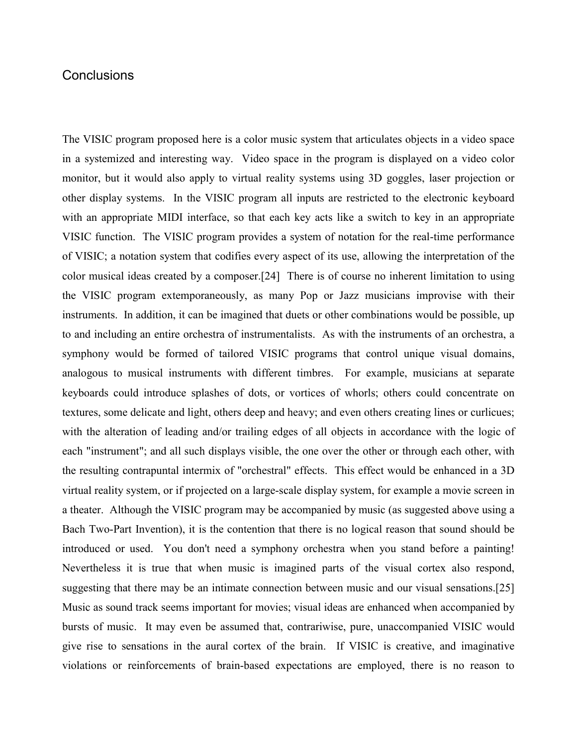# **Conclusions**

The VISIC program proposed here is a color music system that articulates objects in a video space in a systemized and interesting way. Video space in the program is displayed on a video color monitor, but it would also apply to virtual reality systems using 3D goggles, laser projection or other display systems. In the VISIC program all inputs are restricted to the electronic keyboard with an appropriate MIDI interface, so that each key acts like a switch to key in an appropriate VISIC function. The VISIC program provides a system of notation for the real-time performance of VISIC; a notation system that codifies every aspect of its use, allowing the interpretation of the color musical ideas created by a composer.[24] There is of course no inherent limitation to using the VISIC program extemporaneously, as many Pop or Jazz musicians improvise with their instruments. In addition, it can be imagined that duets or other combinations would be possible, up to and including an entire orchestra of instrumentalists. As with the instruments of an orchestra, a symphony would be formed of tailored VISIC programs that control unique visual domains, analogous to musical instruments with different timbres. For example, musicians at separate keyboards could introduce splashes of dots, or vortices of whorls; others could concentrate on textures, some delicate and light, others deep and heavy; and even others creating lines or curlicues; with the alteration of leading and/or trailing edges of all objects in accordance with the logic of each "instrument"; and all such displays visible, the one over the other or through each other, with the resulting contrapuntal intermix of "orchestral" effects. This effect would be enhanced in a 3D virtual reality system, or if projected on a large-scale display system, for example a movie screen in a theater. Although the VISIC program may be accompanied by music (as suggested above using a Bach Two-Part Invention), it is the contention that there is no logical reason that sound should be introduced or used. You don't need a symphony orchestra when you stand before a painting! Nevertheless it is true that when music is imagined parts of the visual cortex also respond, suggesting that there may be an intimate connection between music and our visual sensations.[25] Music as sound track seems important for movies; visual ideas are enhanced when accompanied by bursts of music. It may even be assumed that, contrariwise, pure, unaccompanied VISIC would give rise to sensations in the aural cortex of the brain. If VISIC is creative, and imaginative violations or reinforcements of brain-based expectations are employed, there is no reason to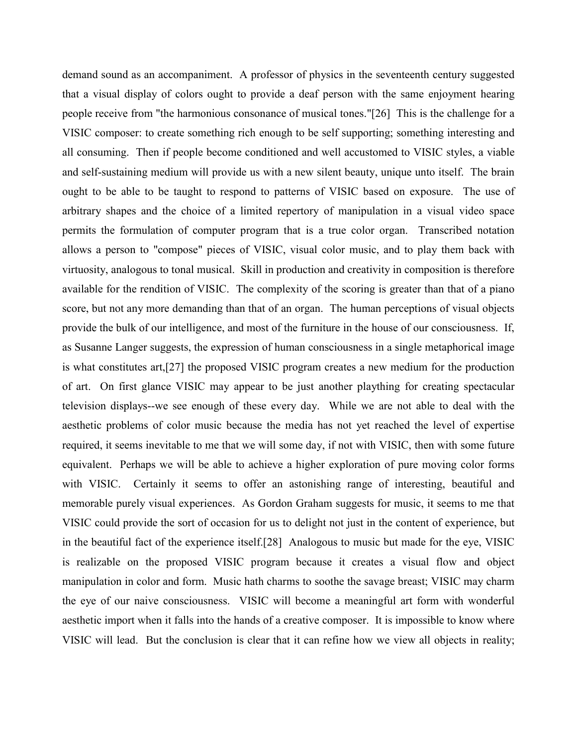demand sound as an accompaniment. A professor of physics in the seventeenth century suggested that a visual display of colors ought to provide a deaf person with the same enjoyment hearing people receive from "the harmonious consonance of musical tones."[26] This is the challenge for a VISIC composer: to create something rich enough to be self supporting; something interesting and all consuming. Then if people become conditioned and well accustomed to VISIC styles, a viable and self-sustaining medium will provide us with a new silent beauty, unique unto itself. The brain ought to be able to be taught to respond to patterns of VISIC based on exposure. The use of arbitrary shapes and the choice of a limited repertory of manipulation in a visual video space permits the formulation of computer program that is a true color organ. Transcribed notation allows a person to "compose" pieces of VISIC, visual color music, and to play them back with virtuosity, analogous to tonal musical. Skill in production and creativity in composition is therefore available for the rendition of VISIC. The complexity of the scoring is greater than that of a piano score, but not any more demanding than that of an organ. The human perceptions of visual objects provide the bulk of our intelligence, and most of the furniture in the house of our consciousness. If, as Susanne Langer suggests, the expression of human consciousness in a single metaphorical image is what constitutes art,[27] the proposed VISIC program creates a new medium for the production of art. On first glance VISIC may appear to be just another plaything for creating spectacular television displays--we see enough of these every day. While we are not able to deal with the aesthetic problems of color music because the media has not yet reached the level of expertise required, it seems inevitable to me that we will some day, if not with VISIC, then with some future equivalent. Perhaps we will be able to achieve a higher exploration of pure moving color forms with VISIC. Certainly it seems to offer an astonishing range of interesting, beautiful and memorable purely visual experiences. As Gordon Graham suggests for music, it seems to me that VISIC could provide the sort of occasion for us to delight not just in the content of experience, but in the beautiful fact of the experience itself.[28] Analogous to music but made for the eye, VISIC is realizable on the proposed VISIC program because it creates a visual flow and object manipulation in color and form. Music hath charms to soothe the savage breast; VISIC may charm the eye of our naive consciousness. VISIC will become a meaningful art form with wonderful aesthetic import when it falls into the hands of a creative composer. It is impossible to know where VISIC will lead. But the conclusion is clear that it can refine how we view all objects in reality;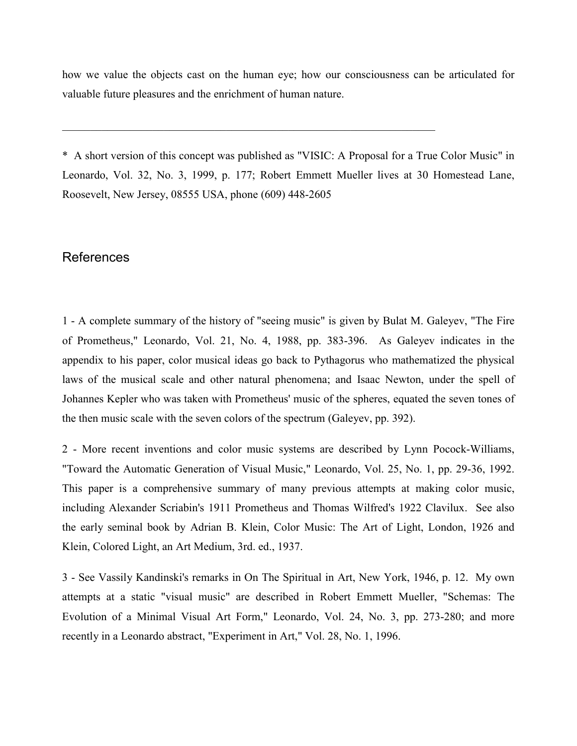how we value the objects cast on the human eye; how our consciousness can be articulated for valuable future pleasures and the enrichment of human nature.

 $\mathcal{L}_\text{max} = \mathcal{L}_\text{max} = \mathcal{L}_\text{max} = \mathcal{L}_\text{max} = \mathcal{L}_\text{max} = \mathcal{L}_\text{max} = \mathcal{L}_\text{max} = \mathcal{L}_\text{max} = \mathcal{L}_\text{max} = \mathcal{L}_\text{max} = \mathcal{L}_\text{max} = \mathcal{L}_\text{max} = \mathcal{L}_\text{max} = \mathcal{L}_\text{max} = \mathcal{L}_\text{max} = \mathcal{L}_\text{max} = \mathcal{L}_\text{max} = \mathcal{L}_\text{max} = \mathcal{$ 

\* A short version of this concept was published as "VISIC: A Proposal for a True Color Music" in Leonardo, Vol. 32, No. 3, 1999, p. 177; Robert Emmett Mueller lives at 30 Homestead Lane, Roosevelt, New Jersey, 08555 USA, phone (609) 448-2605

# References

1 - A complete summary of the history of "seeing music" is given by Bulat M. Galeyev, "The Fire of Prometheus," Leonardo, Vol. 21, No. 4, 1988, pp. 383-396. As Galeyev indicates in the appendix to his paper, color musical ideas go back to Pythagorus who mathematized the physical laws of the musical scale and other natural phenomena; and Isaac Newton, under the spell of Johannes Kepler who was taken with Prometheus' music of the spheres, equated the seven tones of the then music scale with the seven colors of the spectrum (Galeyev, pp. 392).

2 - More recent inventions and color music systems are described by Lynn Pocock-Williams, "Toward the Automatic Generation of Visual Music," Leonardo, Vol. 25, No. 1, pp. 29-36, 1992. This paper is a comprehensive summary of many previous attempts at making color music, including Alexander Scriabin's 1911 Prometheus and Thomas Wilfred's 1922 Clavilux. See also the early seminal book by Adrian B. Klein, Color Music: The Art of Light, London, 1926 and Klein, Colored Light, an Art Medium, 3rd. ed., 1937.

3 - See Vassily Kandinski's remarks in On The Spiritual in Art, New York, 1946, p. 12. My own attempts at a static "visual music" are described in Robert Emmett Mueller, "Schemas: The Evolution of a Minimal Visual Art Form," Leonardo, Vol. 24, No. 3, pp. 273-280; and more recently in a Leonardo abstract, "Experiment in Art," Vol. 28, No. 1, 1996.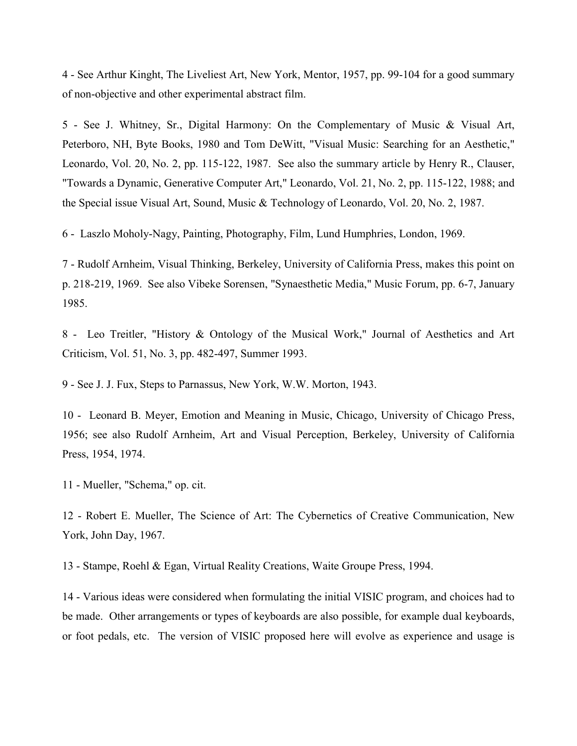4 - See Arthur Kinght, The Liveliest Art, New York, Mentor, 1957, pp. 99-104 for a good summary of non-objective and other experimental abstract film.

5 - See J. Whitney, Sr., Digital Harmony: On the Complementary of Music & Visual Art, Peterboro, NH, Byte Books, 1980 and Tom DeWitt, "Visual Music: Searching for an Aesthetic," Leonardo, Vol. 20, No. 2, pp. 115-122, 1987. See also the summary article by Henry R., Clauser, "Towards a Dynamic, Generative Computer Art," Leonardo, Vol. 21, No. 2, pp. 115-122, 1988; and the Special issue Visual Art, Sound, Music & Technology of Leonardo, Vol. 20, No. 2, 1987.

6 - Laszlo Moholy-Nagy, Painting, Photography, Film, Lund Humphries, London, 1969.

7 - Rudolf Arnheim, Visual Thinking, Berkeley, University of California Press, makes this point on p. 218-219, 1969. See also Vibeke Sorensen, "Synaesthetic Media," Music Forum, pp. 6-7, January 1985.

8 - Leo Treitler, "History & Ontology of the Musical Work," Journal of Aesthetics and Art Criticism, Vol. 51, No. 3, pp. 482-497, Summer 1993.

9 - See J. J. Fux, Steps to Parnassus, New York, W.W. Morton, 1943.

10 - Leonard B. Meyer, Emotion and Meaning in Music, Chicago, University of Chicago Press, 1956; see also Rudolf Arnheim, Art and Visual Perception, Berkeley, University of California Press, 1954, 1974.

11 - Mueller, "Schema," op. cit.

12 - Robert E. Mueller, The Science of Art: The Cybernetics of Creative Communication, New York, John Day, 1967.

13 - Stampe, Roehl & Egan, Virtual Reality Creations, Waite Groupe Press, 1994.

14 - Various ideas were considered when formulating the initial VISIC program, and choices had to be made. Other arrangements or types of keyboards are also possible, for example dual keyboards, or foot pedals, etc. The version of VISIC proposed here will evolve as experience and usage is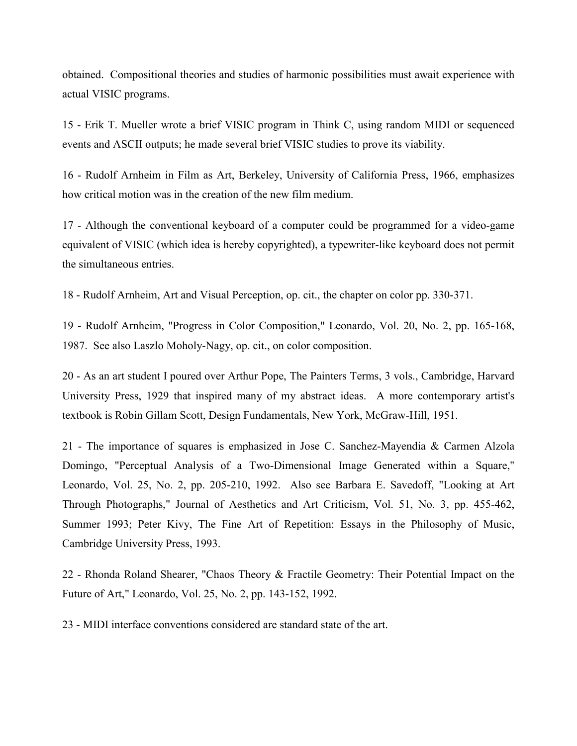obtained. Compositional theories and studies of harmonic possibilities must await experience with actual VISIC programs.

15 - Erik T. Mueller wrote a brief VISIC program in Think C, using random MIDI or sequenced events and ASCII outputs; he made several brief VISIC studies to prove its viability.

16 - Rudolf Arnheim in Film as Art, Berkeley, University of California Press, 1966, emphasizes how critical motion was in the creation of the new film medium.

17 - Although the conventional keyboard of a computer could be programmed for a video-game equivalent of VISIC (which idea is hereby copyrighted), a typewriter-like keyboard does not permit the simultaneous entries.

18 - Rudolf Arnheim, Art and Visual Perception, op. cit., the chapter on color pp. 330-371.

19 - Rudolf Arnheim, "Progress in Color Composition," Leonardo, Vol. 20, No. 2, pp. 165-168, 1987. See also Laszlo Moholy-Nagy, op. cit., on color composition.

20 - As an art student I poured over Arthur Pope, The Painters Terms, 3 vols., Cambridge, Harvard University Press, 1929 that inspired many of my abstract ideas. A more contemporary artist's textbook is Robin Gillam Scott, Design Fundamentals, New York, McGraw-Hill, 1951.

21 - The importance of squares is emphasized in Jose C. Sanchez-Mayendia & Carmen Alzola Domingo, "Perceptual Analysis of a Two-Dimensional Image Generated within a Square," Leonardo, Vol. 25, No. 2, pp. 205-210, 1992. Also see Barbara E. Savedoff, "Looking at Art Through Photographs," Journal of Aesthetics and Art Criticism, Vol. 51, No. 3, pp. 455-462, Summer 1993; Peter Kivy, The Fine Art of Repetition: Essays in the Philosophy of Music, Cambridge University Press, 1993.

22 - Rhonda Roland Shearer, "Chaos Theory & Fractile Geometry: Their Potential Impact on the Future of Art," Leonardo, Vol. 25, No. 2, pp. 143-152, 1992.

23 - MIDI interface conventions considered are standard state of the art.